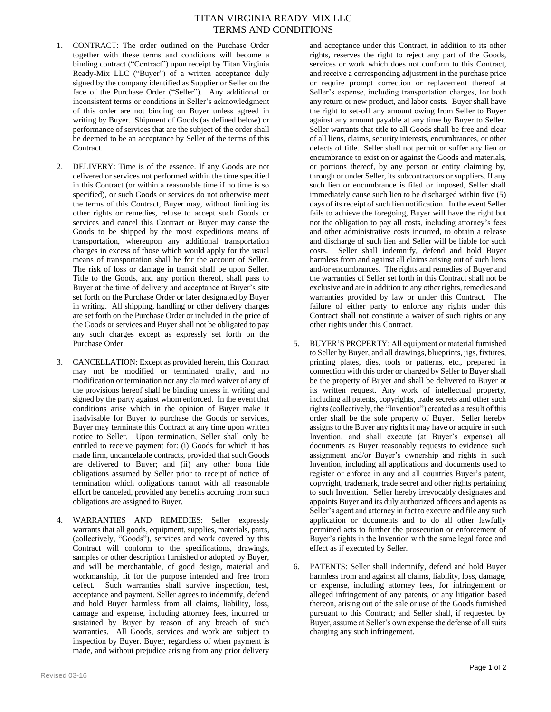## TITAN VIRGINIA READY-MIX LLC TERMS AND CONDITIONS

- 1. CONTRACT: The order outlined on the Purchase Order together with these terms and conditions will become a binding contract ("Contract") upon receipt by Titan Virginia Ready-Mix LLC ("Buyer") of a written acceptance duly signed by the company identified as Supplier or Seller on the face of the Purchase Order ("Seller"). Any additional or inconsistent terms or conditions in Seller's acknowledgment of this order are not binding on Buyer unless agreed in writing by Buyer. Shipment of Goods (as defined below) or performance of services that are the subject of the order shall be deemed to be an acceptance by Seller of the terms of this Contract.
- 2. DELIVERY: Time is of the essence. If any Goods are not delivered or services not performed within the time specified in this Contract (or within a reasonable time if no time is so specified), or such Goods or services do not otherwise meet the terms of this Contract, Buyer may, without limiting its other rights or remedies, refuse to accept such Goods or services and cancel this Contract or Buyer may cause the Goods to be shipped by the most expeditious means of transportation, whereupon any additional transportation charges in excess of those which would apply for the usual means of transportation shall be for the account of Seller. The risk of loss or damage in transit shall be upon Seller. Title to the Goods, and any portion thereof, shall pass to Buyer at the time of delivery and acceptance at Buyer's site set forth on the Purchase Order or later designated by Buyer in writing. All shipping, handling or other delivery charges are set forth on the Purchase Order or included in the price of the Goods or services and Buyer shall not be obligated to pay any such charges except as expressly set forth on the Purchase Order.
- 3. CANCELLATION: Except as provided herein, this Contract may not be modified or terminated orally, and no modification or termination nor any claimed waiver of any of the provisions hereof shall be binding unless in writing and signed by the party against whom enforced. In the event that conditions arise which in the opinion of Buyer make it inadvisable for Buyer to purchase the Goods or services, Buyer may terminate this Contract at any time upon written notice to Seller. Upon termination, Seller shall only be entitled to receive payment for: (i) Goods for which it has made firm, uncancelable contracts, provided that such Goods are delivered to Buyer; and (ii) any other bona fide obligations assumed by Seller prior to receipt of notice of termination which obligations cannot with all reasonable effort be canceled, provided any benefits accruing from such obligations are assigned to Buyer.
- 4. WARRANTIES AND REMEDIES: Seller expressly warrants that all goods, equipment, supplies, materials, parts, (collectively, "Goods"), services and work covered by this Contract will conform to the specifications, drawings, samples or other description furnished or adopted by Buyer, and will be merchantable, of good design, material and workmanship, fit for the purpose intended and free from defect. Such warranties shall survive inspection, test, acceptance and payment. Seller agrees to indemnify, defend and hold Buyer harmless from all claims, liability, loss, damage and expense, including attorney fees, incurred or sustained by Buyer by reason of any breach of such warranties. All Goods, services and work are subject to inspection by Buyer. Buyer, regardless of when payment is made, and without prejudice arising from any prior delivery

and acceptance under this Contract, in addition to its other rights, reserves the right to reject any part of the Goods, services or work which does not conform to this Contract, and receive a corresponding adjustment in the purchase price or require prompt correction or replacement thereof at Seller's expense, including transportation charges, for both any return or new product, and labor costs. Buyer shall have the right to set-off any amount owing from Seller to Buyer against any amount payable at any time by Buyer to Seller. Seller warrants that title to all Goods shall be free and clear of all liens, claims, security interests, encumbrances, or other defects of title. Seller shall not permit or suffer any lien or encumbrance to exist on or against the Goods and materials, or portions thereof, by any person or entity claiming by, through or under Seller, its subcontractors or suppliers. If any such lien or encumbrance is filed or imposed, Seller shall immediately cause such lien to be discharged within five (5) days of its receipt of such lien notification. In the event Seller fails to achieve the foregoing, Buyer will have the right but not the obligation to pay all costs, including attorney's fees and other administrative costs incurred, to obtain a release and discharge of such lien and Seller will be liable for such costs. Seller shall indemnify, defend and hold Buyer harmless from and against all claims arising out of such liens and/or encumbrances. The rights and remedies of Buyer and the warranties of Seller set forth in this Contract shall not be exclusive and are in addition to any other rights, remedies and warranties provided by law or under this Contract. The failure of either party to enforce any rights under this Contract shall not constitute a waiver of such rights or any other rights under this Contract.

- 5. BUYER'S PROPERTY: All equipment or material furnished to Seller by Buyer, and all drawings, blueprints, jigs, fixtures, printing plates, dies, tools or patterns, etc., prepared in connection with this order or charged by Seller to Buyer shall be the property of Buyer and shall be delivered to Buyer at its written request. Any work of intellectual property, including all patents, copyrights, trade secrets and other such rights (collectively, the "Invention") created as a result of this order shall be the sole property of Buyer. Seller hereby assigns to the Buyer any rights it may have or acquire in such Invention, and shall execute (at Buyer's expense) all documents as Buyer reasonably requests to evidence such assignment and/or Buyer's ownership and rights in such Invention, including all applications and documents used to register or enforce in any and all countries Buyer's patent, copyright, trademark, trade secret and other rights pertaining to such Invention. Seller hereby irrevocably designates and appoints Buyer and its duly authorized officers and agents as Seller's agent and attorney in fact to execute and file any such application or documents and to do all other lawfully permitted acts to further the prosecution or enforcement of Buyer's rights in the Invention with the same legal force and effect as if executed by Seller.
- 6. PATENTS: Seller shall indemnify, defend and hold Buyer harmless from and against all claims, liability, loss, damage, or expense, including attorney fees, for infringement or alleged infringement of any patents, or any litigation based thereon, arising out of the sale or use of the Goods furnished pursuant to this Contract; and Seller shall, if requested by Buyer, assume at Seller's own expense the defense of all suits charging any such infringement.